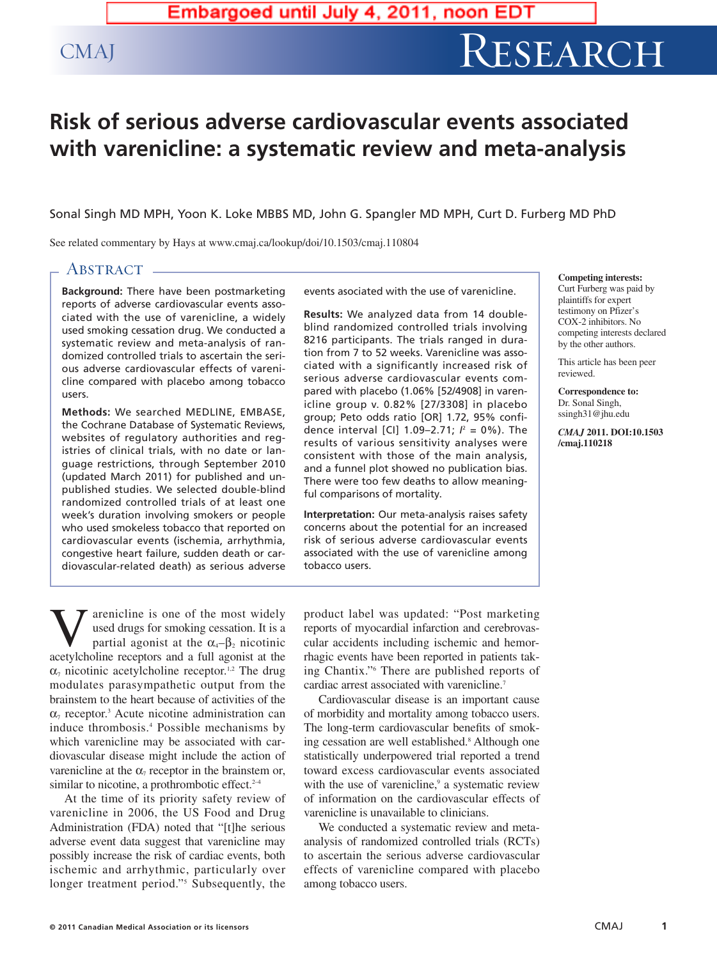# Embargoed until July 4, 2011, noon EDT<br>CMAJ RESEARCH

## **Risk of serious adverse cardiovascular events associated with varenicline: a systematic review and meta-analysis**

Sonal Singh MD MPH, Yoon K. Loke MBBS MD, John G. Spangler MD MPH, Curt D. Furberg MD PhD

See related commentary by Hays at www.cmaj.ca/lookup/doi/10.1503/cmaj.110804

### ABSTRACT -

**Background:** There have been postmarketing reports of adverse cardiovascular events associated with the use of varenicline, a widely used smoking cessation drug. We conducted a systematic review and meta-analysis of randomized controlled trials to ascertain the serious adverse cardiovascular effects of varenicline compared with placebo among tobacco users.

**Methods:** We searched MEDLINE, EMBASE, the Cochrane Database of Systematic Reviews, websites of regulatory authorities and registries of clinical trials, with no date or language restrictions, through September 2010 (updated March 2011) for published and unpublished studies. We selected double-blind randomized controlled trials of at least one week's duration involving smokers or people who used smokeless tobacco that reported on cardiovascular events (ischemia, arrhythmia, congestive heart failure, sudden death or cardiovascular-related death) as serious adverse events asociated with the use of varenicline.

**Results:** We analyzed data from 14 doubleblind randomized controlled trials involving 8216 participants. The trials ranged in duration from 7 to 52 weeks. Varenicline was associated with a significantly increased risk of serious adverse cardiovascular events compared with placebo (1.06% [52/4908] in varenicline group v. 0.82% [27/3308] in placebo group; Peto odds ratio [OR] 1.72, 95% confidence interval [CI] 1.09–2.71; *I* <sup>2</sup> = 0%). The results of various sensitivity analyses were consistent with those of the main analysis, and a funnel plot showed no publication bias. There were too few deaths to allow meaningful comparisons of mortality.

**Interpretation:** Our meta-analysis raises safety concerns about the potential for an increased risk of serious adverse cardiovascular events associated with the use of varenicline among tobacco users.

**Competing interests:** Curt Furberg was paid by plaintiffs for expert testimony on Pfizer's COX-2 inhibitors. No competing interests declared by the other authors.

This article has been peer reviewed.

**Correspondence to:** Dr. Sonal Singh, ssingh31@jhu.edu

*CMAJ* **2011. DOI:10.1503 /cmaj.110218**

**V** arenicline is one of the most widely used drugs for smoking cessation. It is a partial agonist at the  $\alpha_4$ - $\beta_2$  nicotinic acetylcholine recentors and a full agonist at the used drugs for smoking cessation. It is a partial agonist at the  $\alpha_4-\beta_2$  nicotinic acetylcholine receptors and a full agonist at the  $\alpha_7$  nicotinic acetylcholine receptor.<sup>1,2</sup> The drug modulates parasympathetic output from the brainstem to the heart because of activities of the  $\alpha$ <sub>7</sub> receptor.<sup>3</sup> Acute nicotine administration can induce thrombosis. <sup>4</sup> Possible mechanisms by which varenicline may be associated with cardiovascular disease might include the action of varenicline at the  $\alpha_7$  receptor in the brainstem or, similar to nicotine, a prothrombotic effect.<sup>2-4</sup>

At the time of its priority safety review of varenicline in 2006, the US Food and Drug Administration (FDA) noted that "[t]he serious adverse event data suggest that varenicline may possibly increase the risk of cardiac events, both ischemic and arrhythmic, particularly over longer treatment period."<sup>5</sup> Subsequently, the product label was updated: "Post marketing reports of myocardial infarction and cerebrovascular accidents including ischemic and hemorrhagic events have been reported in patients taking Chantix."6 There are published reports of cardiac arrest associated with varenicline. 7

Cardiovascular disease is an important cause of morbidity and mortality among tobacco users. The long-term cardiovascular benefits of smoking cessation are well established. <sup>8</sup> Although one statistically underpowered trial reported a trend toward excess cardiovascular events associated with the use of varenicline,<sup>9</sup> a systematic review of information on the cardiovascular effects of varenicline is unavailable to clinicians.

We conducted a systematic review and metaanalysis of randomized controlled trials (RCTs) to ascertain the serious adverse cardiovascular effects of varenicline compared with placebo among tobacco users.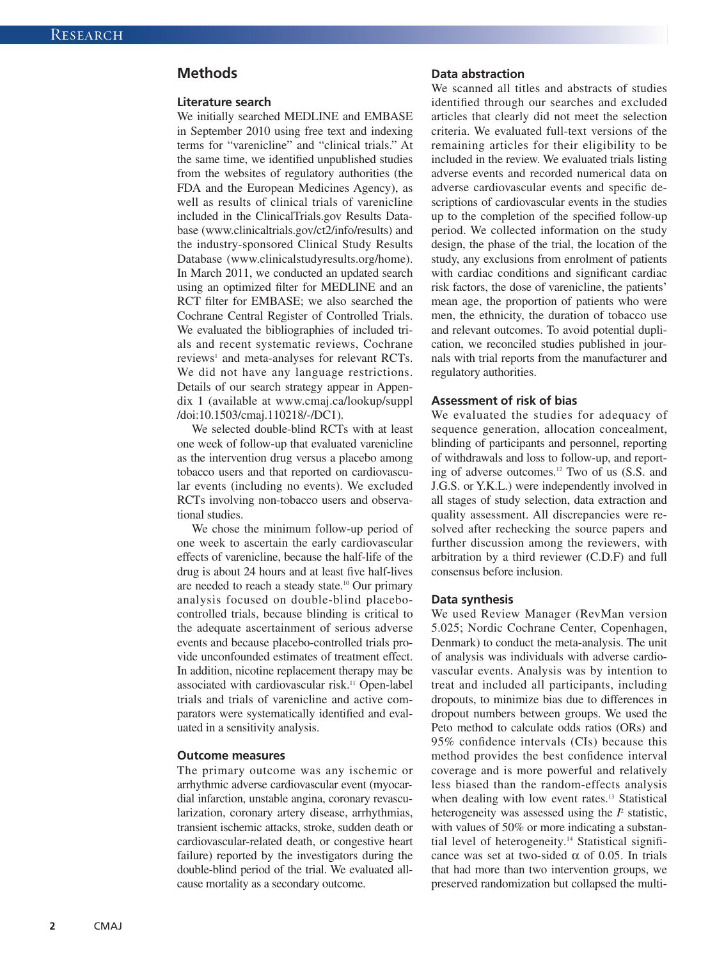#### **Methods**

#### **Literature search**

We initially searched MEDLINE and EMBASE in September 2010 using free text and indexing terms for "varenicline" and "clinical trials." At the same time, we identified unpublished studies from the websites of regulatory authorities (the FDA and the European Medicines Agency), as well as results of clinical trials of varenicline included in the ClinicalTrials.gov Results Database (www.clinicaltrials.gov/ct2/info/results) and the industry-sponsored Clinical Study Results Database (www.clinicalstudyresults.org/home). In March 2011, we conducted an updated search using an optimized filter for MEDLINE and an RCT filter for EMBASE; we also searched the Cochrane Central Register of Controlled Trials. We evaluated the bibliographies of included trials and recent systematic reviews, Cochrane reviews<sup>1</sup> and meta-analyses for relevant RCTs. We did not have any language restrictions. Details of our search strategy appear in Appendix 1 (available at www.cmaj.ca/lookup/suppl /doi:10.1503/cmaj.110218/-/DC1).

We selected double-blind RCTs with at least one week of follow-up that evaluated varenicline as the intervention drug versus a placebo among tobacco users and that reported on cardiovascular events (including no events). We excluded RCTs involving non-tobacco users and observational studies.

We chose the minimum follow-up period of one week to ascertain the early cardiovascular effects of varenicline, because the half-life of the drug is about 24 hours and at least five half-lives are needed to reach a steady state.<sup>10</sup> Our primary analysis focused on double-blind placebocontrolled trials, because blinding is critical to the adequate ascertainment of serious adverse events and because placebo-controlled trials provide unconfounded estimates of treatment effect. In addition, nicotine replacement therapy may be associated with cardiovascular risk. <sup>11</sup> Open-label trials and trials of varenicline and active comparators were systematically identified and evaluated in a sensitivity analysis.

#### **Outcome measures**

The primary outcome was any ischemic or arrhythmic adverse cardiovascular event (myocardial infarction, unstable angina, coronary revascularization, coronary artery disease, arrhythmias, transient ischemic attacks, stroke, sudden death or cardiovascular-related death, or congestive heart failure) reported by the investigators during the double-blind period of the trial. We evaluated allcause mortality as a secondary outcome.

#### **Data abstraction**

We scanned all titles and abstracts of studies identified through our searches and excluded articles that clearly did not meet the selection criteria. We evaluated full-text versions of the remaining articles for their eligibility to be included in the review. We evaluated trials listing adverse events and recorded numerical data on adverse cardiovascular events and specific descriptions of cardiovascular events in the studies up to the completion of the specified follow-up period. We collected information on the study design, the phase of the trial, the location of the study, any exclusions from enrolment of patients with cardiac conditions and significant cardiac risk factors, the dose of varenicline, the patients' mean age, the proportion of patients who were men, the ethnicity, the duration of tobacco use and relevant outcomes. To avoid potential duplication, we reconciled studies published in journals with trial reports from the manufacturer and regulatory authorities.

#### **Assessment of risk of bias**

We evaluated the studies for adequacy of sequence generation, allocation concealment, blinding of participants and personnel, reporting of withdrawals and loss to follow-up, and reporting of adverse outcomes. <sup>12</sup> Two of us (S.S. and J.G.S. or Y.K.L.) were independently involved in all stages of study selection, data extraction and quality assessment. All discrepancies were resolved after rechecking the source papers and further discussion among the reviewers, with arbitration by a third reviewer (C.D.F) and full consensus before inclusion.

#### **Data synthesis**

We used Review Manager (RevMan version 5.025; Nordic Cochrane Center, Copenhagen, Denmark) to conduct the meta-analysis. The unit of analysis was individuals with adverse cardiovascular events. Analysis was by intention to treat and included all participants, including dropouts, to minimize bias due to differences in dropout numbers between groups. We used the Peto method to calculate odds ratios (ORs) and 95% confidence intervals (CIs) because this method provides the best confidence interval coverage and is more powerful and relatively less biased than the random-effects analysis when dealing with low event rates.<sup>13</sup> Statistical heterogeneity was assessed using the  *statistic,* with values of 50% or more indicating a substantial level of heterogeneity. <sup>14</sup> Statistical significance was set at two-sided  $\alpha$  of 0.05. In trials that had more than two intervention groups, we preserved randomization but collapsed the multi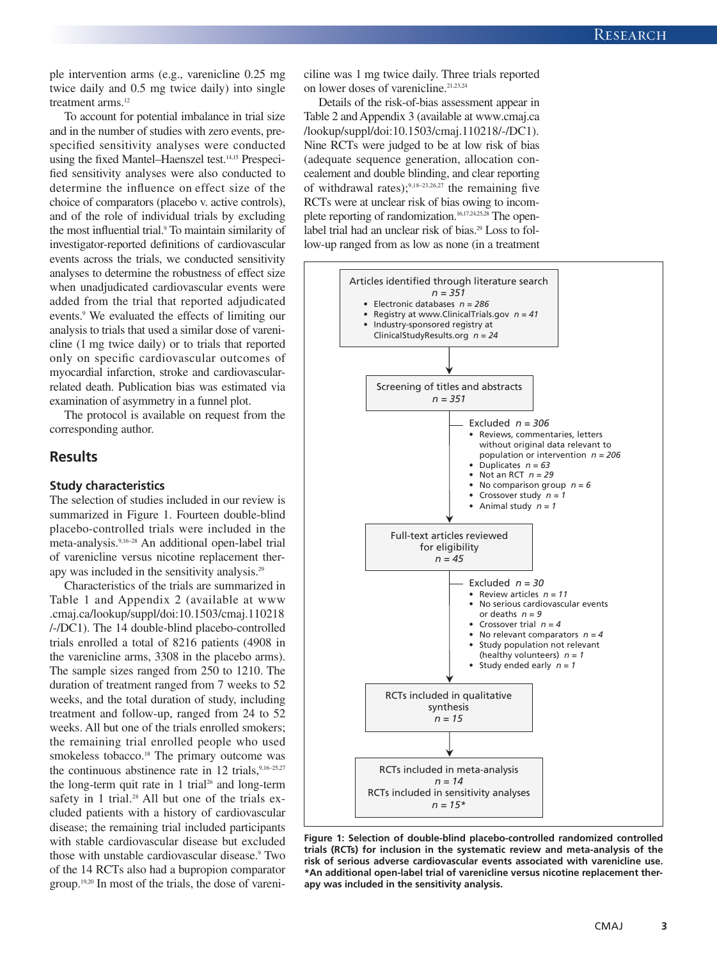ple intervention arms (e.g., varenicline 0.25 mg twice daily and 0.5 mg twice daily) into single treatment arms. 12

To account for potential imbalance in trial size and in the number of studies with zero events, prespecified sensitivity analyses were conducted using the fixed Mantel–Haenszel test. 14,15 Prespecified sensitivity analyses were also conducted to determine the influence on effect size of the choice of comparators (placebo v. active controls), and of the role of individual trials by excluding the most influential trial. <sup>9</sup> To maintain similarity of investigator-reported definitions of cardiovascular events across the trials, we conducted sensitivity analyses to determine the robustness of effect size when unadjudicated cardiovascular events were added from the trial that reported adjudicated events. <sup>9</sup> We evaluated the effects of limiting our analysis to trials that used a similar dose of varenicline (1 mg twice daily) or to trials that reported only on specific cardiovascular outcomes of myocardial infarction, stroke and cardiovascularrelated death. Publication bias was estimated via examination of asymmetry in a funnel plot.

The protocol is available on request from the corresponding author.

#### **Results**

#### **Study characteristics**

The selection of studies included in our review is summarized in Figure 1. Fourteen double-blind placebo-controlled trials were included in the meta-analysis. 9,16–28 An additional open-label trial of varenicline versus nicotine replacement therapy was included in the sensitivity analysis.<sup>29</sup>

Characteristics of the trials are summarized in Table 1 and Appendix 2 (available at www .cmaj.ca/lookup/suppl/doi:10.1503/cmaj.110218 /-/DC1). The 14 double-blind placebo-controlled trials enrolled a total of 8216 patients (4908 in the varenicline arms, 3308 in the placebo arms). The sample sizes ranged from 250 to 1210. The duration of treatment ranged from 7 weeks to 52 weeks, and the total duration of study, including treatment and follow-up, ranged from 24 to 52 weeks. All but one of the trials enrolled smokers; the remaining trial enrolled people who used smokeless tobacco. <sup>18</sup> The primary outcome was the continuous abstinence rate in 12 trials,<sup>9,16-25,27</sup> the long-term quit rate in 1 trial <sup>26</sup> and long-term safety in 1 trial.<sup>28</sup> All but one of the trials excluded patients with a history of cardiovascular disease; the remaining trial included participants with stable cardiovascular disease but excluded those with unstable cardiovascular disease. <sup>9</sup> Two of the 14 RCTs also had a bupropion comparator group. 19,20 In most of the trials, the dose of vareniciline was 1 mg twice daily. Three trials reported on lower doses of varenicline. 21,23,24

Details of the risk-of-bias assessment appear in Table 2 and Appendix 3 (available at www.cmaj.ca /lookup/suppl/doi:10.1503/cmaj.110218/-/DC1). Nine RCTs were judged to be at low risk of bias (adequate sequence generation, allocation concealement and double blinding, and clear reporting of withdrawal rates);<sup>9,18-23,26,27</sup> the remaining five RCTs were at unclear risk of bias owing to incomplete reporting of randomization. 16,17,24,25,28 The openlabel trial had an unclear risk of bias. <sup>29</sup> Loss to follow-up ranged from as low as none (in a treatment



**Figure 1: Selection of double-blind placebo-controlled randomized controlled trials (RCTs) for inclusion in the systematic review and meta-analysis of the risk of serious adverse cardiovascular events associated with varenicline use. \*An additional open-label trial of varenicline versus nicotine replacement therapy was included in the sensitivity analysis.**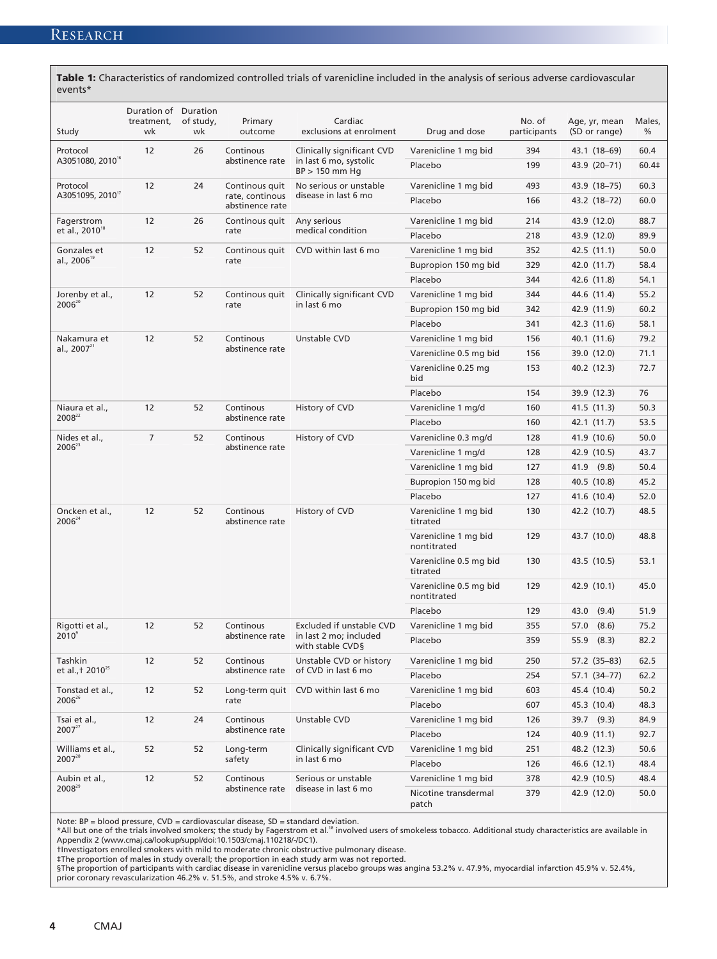| Table T. Characteristics of randomized controlled trials of varenicime included in the analysis of serious adverse cardiovascular<br>events* |                                          |                 |                                                      |                                                                               |                                       |                        |                                |             |
|----------------------------------------------------------------------------------------------------------------------------------------------|------------------------------------------|-----------------|------------------------------------------------------|-------------------------------------------------------------------------------|---------------------------------------|------------------------|--------------------------------|-------------|
| Study                                                                                                                                        | Duration of Duration<br>treatment,<br>wk | of study,<br>wk | Primary<br>outcome                                   | Cardiac<br>exclusions at enrolment                                            | Drug and dose                         | No. of<br>participants | Age, yr, mean<br>(SD or range) | Males,<br>% |
| Protocol                                                                                                                                     | 12                                       | 26              | Continous                                            | Clinically significant CVD                                                    | Varenicline 1 mg bid                  | 394                    | 43.1 (18–69)                   | 60.4        |
| A3051080, 2010 <sup>th</sup>                                                                                                                 |                                          |                 | abstinence rate                                      | in last 6 mo, systolic<br>$BP > 150$ mm Hg                                    | Placebo                               | 199                    | 43.9 (20-71)                   | 60.4‡       |
| Protocol                                                                                                                                     | 12                                       | 24              | Continous quit<br>rate, continous<br>abstinence rate | No serious or unstable                                                        | Varenicline 1 mg bid                  | 493                    | 43.9 (18–75)                   | 60.3        |
| A3051095, 2010 <sup>17</sup>                                                                                                                 |                                          |                 |                                                      | disease in last 6 mo                                                          | Placebo                               | 166                    | 43.2 (18–72)                   | 60.0        |
| Fagerstrom                                                                                                                                   | 12                                       | 26              | Continous quit<br>rate                               | Any serious                                                                   | Varenicline 1 mg bid                  | 214                    | 43.9 (12.0)                    | 88.7        |
| et al., 2010 <sup>18</sup>                                                                                                                   |                                          |                 |                                                      | medical condition                                                             | Placebo                               | 218                    | 43.9 (12.0)                    | 89.9        |
| Gonzales et<br>al., 2006 <sup>19</sup>                                                                                                       | 12                                       | 52              | Continous quit<br>rate                               | CVD within last 6 mo                                                          | Varenicline 1 mg bid                  | 352                    | 42.5 (11.1)                    | 50.0        |
|                                                                                                                                              |                                          |                 |                                                      |                                                                               | Bupropion 150 mg bid                  | 329                    | 42.0 (11.7)                    | 58.4        |
|                                                                                                                                              |                                          |                 |                                                      |                                                                               | Placebo                               | 344                    | 42.6 (11.8)                    | 54.1        |
| Jorenby et al.,<br>$2006^{20}$                                                                                                               | 12                                       | 52              | Continous quit<br>rate                               | Clinically significant CVD<br>in last 6 mo                                    | Varenicline 1 mg bid                  | 344                    | 44.6 (11.4)                    | 55.2        |
|                                                                                                                                              |                                          |                 |                                                      |                                                                               | Bupropion 150 mg bid                  | 342                    | 42.9 (11.9)                    | 60.2        |
|                                                                                                                                              |                                          |                 |                                                      |                                                                               | Placebo                               | 341                    | 42.3 (11.6)                    | 58.1        |
| Nakamura et                                                                                                                                  | 12                                       | 52              | Continous<br>abstinence rate                         | Unstable CVD                                                                  | Varenicline 1 mg bid                  | 156                    | 40.1 (11.6)                    | 79.2        |
| al., 2007 $^{21}$                                                                                                                            |                                          |                 |                                                      |                                                                               | Varenicline 0.5 mg bid                | 156                    | 39.0 (12.0)                    | 71.1        |
|                                                                                                                                              |                                          |                 |                                                      |                                                                               | Varenicline 0.25 mg<br>bid            | 153                    | 40.2 (12.3)                    | 72.7        |
|                                                                                                                                              |                                          |                 |                                                      |                                                                               | Placebo                               | 154                    | 39.9 (12.3)                    | 76          |
| Niaura et al.,                                                                                                                               | 12                                       | 52              | Continous<br>abstinence rate                         | History of CVD                                                                | Varenicline 1 mg/d                    | 160                    | 41.5 (11.3)                    | 50.3        |
| 2008 <sup>22</sup>                                                                                                                           |                                          |                 |                                                      |                                                                               | Placebo                               | 160                    | 42.1 (11.7)                    | 53.5        |
| Nides et al.,<br>$2006^{23}$                                                                                                                 | $\overline{7}$                           | 52              | Continous<br>abstinence rate                         | History of CVD                                                                | Varenicline 0.3 mg/d                  | 128                    | 41.9 (10.6)                    | 50.0        |
|                                                                                                                                              |                                          |                 |                                                      |                                                                               | Varenicline 1 mg/d                    | 128                    | 42.9 (10.5)                    | 43.7        |
|                                                                                                                                              |                                          |                 |                                                      |                                                                               | Varenicline 1 mg bid                  | 127                    | (9.8)<br>41.9                  | 50.4        |
|                                                                                                                                              |                                          |                 |                                                      |                                                                               | Bupropion 150 mg bid                  | 128                    | 40.5 (10.8)                    | 45.2        |
|                                                                                                                                              |                                          |                 |                                                      |                                                                               | Placebo                               | 127                    | 41.6 (10.4)                    | 52.0        |
| Oncken et al.,<br>$2006^{24}$                                                                                                                | 12                                       | 52              | Continous<br>abstinence rate                         | History of CVD                                                                | Varenicline 1 mg bid<br>titrated      | 130                    | 42.2 (10.7)                    | 48.5        |
|                                                                                                                                              |                                          |                 |                                                      |                                                                               | Varenicline 1 mg bid<br>nontitrated   | 129                    | 43.7 (10.0)                    | 48.8        |
|                                                                                                                                              |                                          |                 |                                                      |                                                                               | Varenicline 0.5 mg bid<br>titrated    | 130                    | 43.5 (10.5)                    | 53.1        |
|                                                                                                                                              |                                          |                 |                                                      |                                                                               | Varenicline 0.5 mg bid<br>nontitrated | 129                    | 42.9 (10.1)                    | 45.0        |
|                                                                                                                                              |                                          |                 |                                                      |                                                                               | Placebo                               | 129                    | 43.0<br>(9.4)                  | 51.9        |
| Rigotti et al.<br>$2010^{\circ}$                                                                                                             | 12                                       | 52              | Continous<br>abstinence rate                         | <b>Excluded if unstable CVD</b><br>in last 2 mo; included<br>with stable CVD§ | Varenicline 1 mg bid                  | 355                    | 57.0 (8.6)                     | 75.2        |
|                                                                                                                                              |                                          |                 |                                                      |                                                                               | Placebo                               | 359                    | 55.9 (8.3)                     | 82.2        |
| Tashkin<br>et al., † 2010 <sup>25</sup>                                                                                                      | 12                                       | 52              | Continous<br>abstinence rate                         | Unstable CVD or history<br>of CVD in last 6 mo                                | Varenicline 1 mg bid                  | 250                    | 57.2 (35–83)                   | 62.5        |
|                                                                                                                                              |                                          |                 |                                                      |                                                                               | Placebo                               | 254                    | 57.1 (34–77)                   | 62.2        |
| Tonstad et al.,<br>2006 <sup>26</sup>                                                                                                        | 12                                       | 52              | rate                                                 | Long-term quit CVD within last 6 mo                                           | Varenicline 1 mg bid                  | 603                    | 45.4 (10.4)                    | 50.2        |
|                                                                                                                                              |                                          |                 |                                                      |                                                                               | Placebo                               | 607                    | 45.3 (10.4)                    | 48.3        |
| Tsai et al.,<br>$2007^{27}$                                                                                                                  | 12                                       | 24              | Continous<br>abstinence rate                         | Unstable CVD                                                                  | Varenicline 1 mg bid                  | 126                    | 39.7 (9.3)                     | 84.9        |
|                                                                                                                                              |                                          |                 |                                                      |                                                                               | Placebo                               | 124                    | 40.9 (11.1)                    | 92.7        |
| Williams et al.,<br>$2007^{28}$                                                                                                              | 52                                       | 52              | Long-term<br>safety                                  | Clinically significant CVD<br>in last 6 mo                                    | Varenicline 1 mg bid                  | 251                    | 48.2 (12.3)                    | 50.6        |
|                                                                                                                                              |                                          |                 |                                                      |                                                                               | Placebo                               | 126                    | 46.6 (12.1)                    | 48.4        |
| Aubin et al.,<br>2008 <sup>29</sup>                                                                                                          | 12                                       | 52              | Continous<br>abstinence rate                         | Serious or unstable<br>disease in last 6 mo                                   | Varenicline 1 mg bid                  | 378                    | 42.9 (10.5)                    | 48.4        |
|                                                                                                                                              |                                          |                 |                                                      |                                                                               | Nicotine transdermal<br>patch         | 379                    | 42.9 (12.0)                    | 50.0        |

**Table 1:** Characteristics of randomized controlled trials of varenicline included in the analysis of serious adverse cardiovascular

Note: BP = blood pressure, CVD = cardiovascular disease, SD = standard deviation.<br>\*All but one of the trials involved smokers; the study by Fagerstrom et al.<sup>18</sup> involved users of smokeless tobacco. Additional study charac Appendix 2 (www.cmaj.ca/lookup/suppl/doi:10.1503/cmaj.110218/-/DC1).

†Investigators enrolled smokers with mild to moderate chronic obstructive pulmonary disease.

‡The proportion of males in study overall; the proportion in each study arm was not reported.

§The proportion of participants with cardiac disease in varenicline versus placebo groups was angina 53.2% v. 47.9%, myocardial infarction 45.9% v. 52.4%, prior coronary revascularization 46.2% v. 51.5%, and stroke 4.5% v. 6.7%.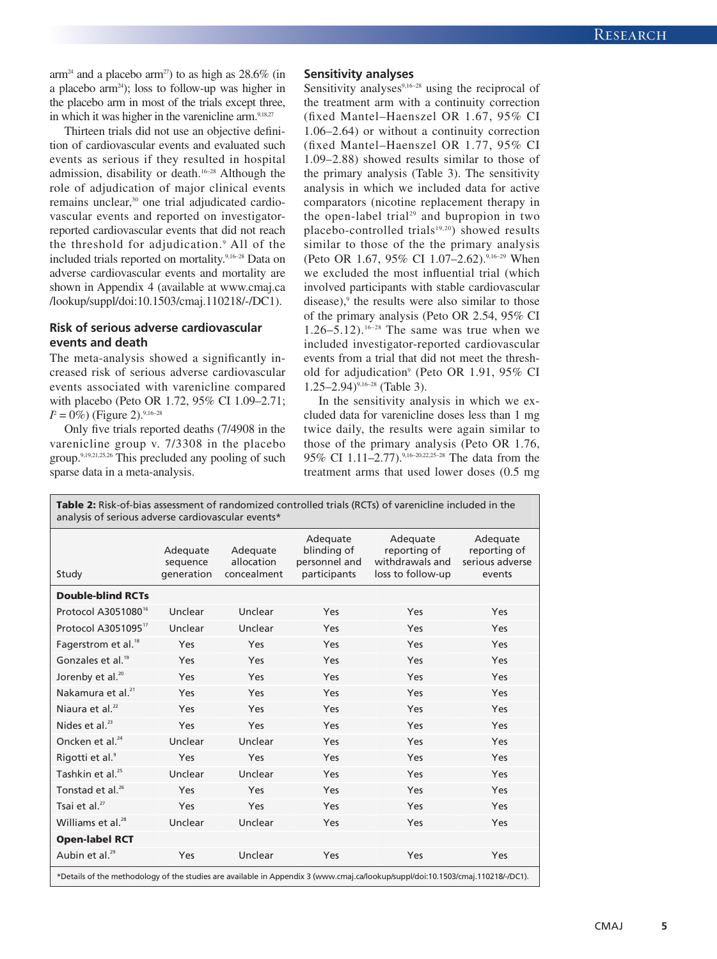$arm<sup>24</sup>$  and a placebo arm<sup>27</sup>) to as high as 28.6% (in a placebo arm<sup>24</sup>); loss to follow-up was higher in the placebo arm in most of the trials except three, in which it was higher in the varenicline arm.<sup>9,18,27</sup>

Thirteen trials did not use an objective definition of cardiovascular events and evaluated such events as serious if they resulted in hospital admission, disability or death. 16–28 Although the role of adjudication of major clinical events remains unclear, <sup>30</sup> one trial adjudicated cardiovascular events and reported on investigatorreported cardiovascular events that did not reach the threshold for adjudication. <sup>9</sup> All of the included trials reported on mortality. 9,16–28 Data on adverse cardiovascular events and mortality are shown in Appendix 4 (available at www.cmaj.ca /lookup/suppl/doi:10.1503/cmaj.110218/-/DC1).

#### **Risk of serious adverse cardiovascular events and death**

The meta-analysis showed a significantly increased risk of serious adverse cardiovascular events associated with varenicline compared with placebo (Peto OR 1.72, 95% CI 1.09–2.71;  $I^2 = 0\%$ ) (Figure 2).<sup>9,16–28</sup>

Only five trials reported deaths (7/4908 in the varenicline group v. 7/3308 in the placebo group. 9,19,21,25,26 This precluded any pooling of such sparse data in a meta-analysis.

#### **Sensitivity analyses**

Sensitivity analyses $9,16-28$  using the reciprocal of the treatment arm with a continuity correction (fixed Mantel–Haenszel OR 1.67, 95% CI 1.06–2.64) or without a continuity correction (fixed Mantel–Haenszel OR 1.77, 95% CI 1.09–2.88) showed results similar to those of the primary analysis (Table 3). The sensitivity analysis in which we included data for active comparators (nicotine replacement therapy in the open-label trial <sup>29</sup> and bupropion in two placebo-controlled trials<sup>19,20</sup>) showed results similar to those of the the primary analysis (Peto OR 1.67, 95% CI 1.07–2.62). 9,16–29 When we excluded the most influential trial (which involved participants with stable cardiovascular disease), <sup>9</sup> the results were also similar to those of the primary analysis (Peto OR 2.54, 95% CI  $1.26-5.12$ ).<sup>16-28</sup> The same was true when we included investigator-reported cardiovascular events from a trial that did not meet the threshold for adjudication<sup>9</sup> (Peto OR 1.91, 95% CI 1.25–2.94) 9,16–28 (Table 3).

In the sensitivity analysis in which we excluded data for varenicline doses less than 1 mg twice daily, the results were again similar to those of the primary analysis (Peto OR 1.76, 95% CI 1.11–2.77).<sup>9,16–20,22,25–28</sup> The data from the treatment arms that used lower doses (0.5 mg

| Table 2: Risk-of-bias assessment of randomized controlled trials (RCTs) of varenicline included in the<br>analysis of serious adverse cardiovascular events* |                                    |                                       |                                                          |                                                                  |                                                       |  |  |  |
|--------------------------------------------------------------------------------------------------------------------------------------------------------------|------------------------------------|---------------------------------------|----------------------------------------------------------|------------------------------------------------------------------|-------------------------------------------------------|--|--|--|
| Study                                                                                                                                                        | Adequate<br>sequence<br>generation | Adequate<br>allocation<br>concealment | Adequate<br>blinding of<br>personnel and<br>participants | Adequate<br>reporting of<br>withdrawals and<br>loss to follow-up | Adequate<br>reporting of<br>serious adverse<br>events |  |  |  |
| <b>Double-blind RCTs</b>                                                                                                                                     |                                    |                                       |                                                          |                                                                  |                                                       |  |  |  |
| Protocol A3051080 <sup>16</sup>                                                                                                                              | Unclear                            | Unclear                               | Yes                                                      | Yes                                                              | Yes                                                   |  |  |  |
| Protocol A3051095 <sup>17</sup>                                                                                                                              | Unclear                            | Unclear                               | Yes                                                      | Yes                                                              | Yes                                                   |  |  |  |
| Fagerstrom et al. <sup>18</sup>                                                                                                                              | Yes                                | Yes                                   | Yes                                                      | Yes                                                              | Yes                                                   |  |  |  |
| Gonzales et al. <sup>19</sup>                                                                                                                                | Yes                                | Yes                                   | Yes                                                      | Yes                                                              | Yes                                                   |  |  |  |
| Jorenby et al. <sup>20</sup>                                                                                                                                 | Yes                                | Yes                                   | Yes                                                      | Yes                                                              | Yes                                                   |  |  |  |
| Nakamura et al. <sup>21</sup>                                                                                                                                | Yes                                | Yes                                   | Yes                                                      | Yes                                                              | Yes                                                   |  |  |  |
| Niaura et al. $^{22}$                                                                                                                                        | Yes                                | Yes                                   | Yes                                                      | Yes                                                              | Yes                                                   |  |  |  |
| Nides et al. $^{23}$                                                                                                                                         | Yes                                | Yes                                   | Yes                                                      | Yes                                                              | Yes                                                   |  |  |  |
| Oncken et al. <sup>24</sup>                                                                                                                                  | Unclear                            | Unclear                               | Yes                                                      | Yes                                                              | Yes                                                   |  |  |  |
| Rigotti et al. <sup>9</sup>                                                                                                                                  | Yes                                | Yes                                   | Yes                                                      | Yes                                                              | Yes                                                   |  |  |  |
| Tashkin et al. <sup>25</sup>                                                                                                                                 | Unclear                            | Unclear                               | Yes                                                      | Yes                                                              | Yes                                                   |  |  |  |
| Tonstad et al. <sup>26</sup>                                                                                                                                 | Yes                                | Yes                                   | Yes                                                      | Yes                                                              | Yes                                                   |  |  |  |
| Tsai et al. $^{27}$                                                                                                                                          | Yes                                | Yes                                   | Yes                                                      | Yes                                                              | Yes                                                   |  |  |  |
| Williams et al. <sup>28</sup>                                                                                                                                | Unclear                            | Unclear                               | Yes                                                      | Yes                                                              | Yes                                                   |  |  |  |
| <b>Open-label RCT</b>                                                                                                                                        |                                    |                                       |                                                          |                                                                  |                                                       |  |  |  |
| Aubin et al. <sup>29</sup>                                                                                                                                   | Yes                                | Unclear                               | Yes                                                      | Yes                                                              | Yes                                                   |  |  |  |
| *Details of the methodology of the studies are available in Appendix 3 (www.cmaj.ca/lookup/suppl/doi:10.1503/cmaj.110218/-/DC1).                             |                                    |                                       |                                                          |                                                                  |                                                       |  |  |  |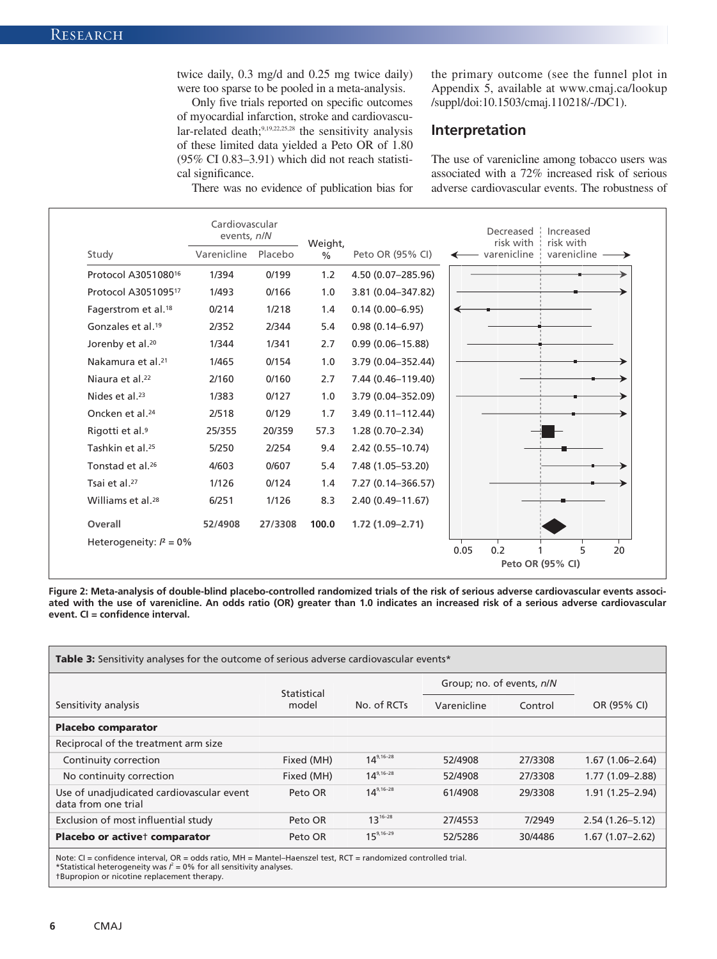twice daily, 0.3 mg/d and 0.25 mg twice daily) were too sparse to be pooled in a meta-analysis.

Only five trials reported on specific outcomes of myocardial infarction, stroke and cardiovascular-related death;<sup>9,19,22,25,28</sup> the sensitivity analysis of these limited data yielded a Peto OR of 1.80 (95% CI 0.83–3.91) which did not reach statistical significance.

There was no evidence of publication bias for

the primary outcome (see the funnel plot in Appendix 5, available at www.cmaj.ca/lookup /suppl/doi:10.1503/cmaj.110218/-/DC1).

#### **Interpretation**

The use of varenicline among tobacco users was associated with a 72% increased risk of serious adverse cardiovascular events. The robustness of

|                                 | Cardiovascular<br>events, n/N |                          | Weight, |                       | Increased<br>Decreased<br>risk with<br>risk with |
|---------------------------------|-------------------------------|--------------------------|---------|-----------------------|--------------------------------------------------|
| Study                           | Varenicline                   | Placebo<br>$\frac{0}{0}$ |         | Peto OR (95% CI)      | varenicline<br>varenicline                       |
| Protocol A305108016             | 1/394                         | 0/199                    | 1.2     | 4.50 (0.07-285.96)    |                                                  |
| Protocol A305109517             | 1/493                         | 0/166                    | 1.0     | 3.81 (0.04-347.82)    |                                                  |
| Fagerstrom et al. <sup>18</sup> | 0/214                         | 1/218                    | 1.4     | $0.14(0.00 - 6.95)$   |                                                  |
| Gonzales et al. <sup>19</sup>   | 2/352                         | 2/344                    | 5.4     | $0.98(0.14 - 6.97)$   |                                                  |
| Jorenby et al. <sup>20</sup>    | 1/344                         | 1/341                    | 2.7     | $0.99(0.06 - 15.88)$  |                                                  |
| Nakamura et al. <sup>21</sup>   | 1/465                         | 0/154                    | 1.0     | 3.79 (0.04-352.44)    |                                                  |
| Niaura et al. <sup>22</sup>     | 2/160                         | 0/160                    | 2.7     | 7.44 (0.46-119.40)    |                                                  |
| Nides et al. $23$               | 1/383                         | 0/127                    | 1.0     | 3.79 (0.04-352.09)    |                                                  |
| Oncken et al. <sup>24</sup>     | 2/518                         | 0/129                    | 1.7     | $3.49(0.11 - 112.44)$ |                                                  |
| Rigotti et al. <sup>9</sup>     | 25/355                        | 20/359                   | 57.3    | $1.28(0.70 - 2.34)$   |                                                  |
| Tashkin et al. <sup>25</sup>    | 5/250                         | 2/254                    | 9.4     | 2.42 (0.55-10.74)     |                                                  |
| Tonstad et al. <sup>26</sup>    | 4/603                         | 0/607                    | 5.4     | 7.48 (1.05-53.20)     |                                                  |
| Tsai et al. <sup>27</sup>       | 1/126                         | 0/124                    | 1.4     | 7.27 (0.14 - 366.57)  |                                                  |
| Williams et al. <sup>28</sup>   | 6/251                         | 1/126                    | 8.3     | $2.40(0.49 - 11.67)$  |                                                  |
| Overall                         | 52/4908                       | 27/3308                  | 100.0   | $1.72(1.09-2.71)$     |                                                  |
| Heterogeneity: $I^2 = 0\%$      |                               |                          |         |                       | 0.2<br>5<br>0.05<br>20                           |
|                                 |                               |                          |         |                       | Peto OR (95% CI)                                 |

Figure 2: Meta-analysis of double-blind placebo-controlled randomized trials of the risk of serious adverse cardiovascular events associated with the use of varenicline. An odds ratio (OR) greater than 1.0 indicates an increased risk of a serious adverse cardiovascular **event. CI = confidence interval.**

| Table 3: Sensitivity analyses for the outcome of serious adverse cardiovascular events*                                                                                                                                        |                      |                |                           |         |                     |  |  |  |
|--------------------------------------------------------------------------------------------------------------------------------------------------------------------------------------------------------------------------------|----------------------|----------------|---------------------------|---------|---------------------|--|--|--|
|                                                                                                                                                                                                                                | Statistical<br>model | No. of RCTs    | Group; no. of events, n/N |         |                     |  |  |  |
| Sensitivity analysis                                                                                                                                                                                                           |                      |                | Varenicline               | Control | OR (95% CI)         |  |  |  |
| <b>Placebo comparator</b>                                                                                                                                                                                                      |                      |                |                           |         |                     |  |  |  |
| Reciprocal of the treatment arm size                                                                                                                                                                                           |                      |                |                           |         |                     |  |  |  |
| Continuity correction                                                                                                                                                                                                          | Fixed (MH)           | $14^{9,16-28}$ | 52/4908                   | 27/3308 | $1.67(1.06 - 2.64)$ |  |  |  |
| No continuity correction                                                                                                                                                                                                       | Fixed (MH)           | $14^{9,16-28}$ | 52/4908                   | 27/3308 | $1.77(1.09 - 2.88)$ |  |  |  |
| Use of unadjudicated cardiovascular event<br>data from one trial                                                                                                                                                               | Peto OR              | $14^{9,16-28}$ | 61/4908                   | 29/3308 | $1.91(1.25 - 2.94)$ |  |  |  |
| Exclusion of most influential study                                                                                                                                                                                            | Peto OR              | $13^{16-28}$   | 27/4553                   | 7/2949  | $2.54(1.26 - 5.12)$ |  |  |  |
| Placebo or activet comparator                                                                                                                                                                                                  | Peto OR              | $15^{9,16-29}$ | 52/5286                   | 30/4486 | $1.67(1.07 - 2.62)$ |  |  |  |
| At a control of the control of a set and a set of the control of the control of the control of the control of the control of the control of the control of the control of the control of the control of the control of the con |                      |                |                           |         |                     |  |  |  |

Note: CI = confidence interval, OR = odds ratio, MH = Mantel–Haenszel test, RCT = randomized controlled trial.<br>\*Statistical heterogeneity was /<sup>2</sup> = 0% for all sensitivity analyses. †Bupropion or nicotine replacement therapy.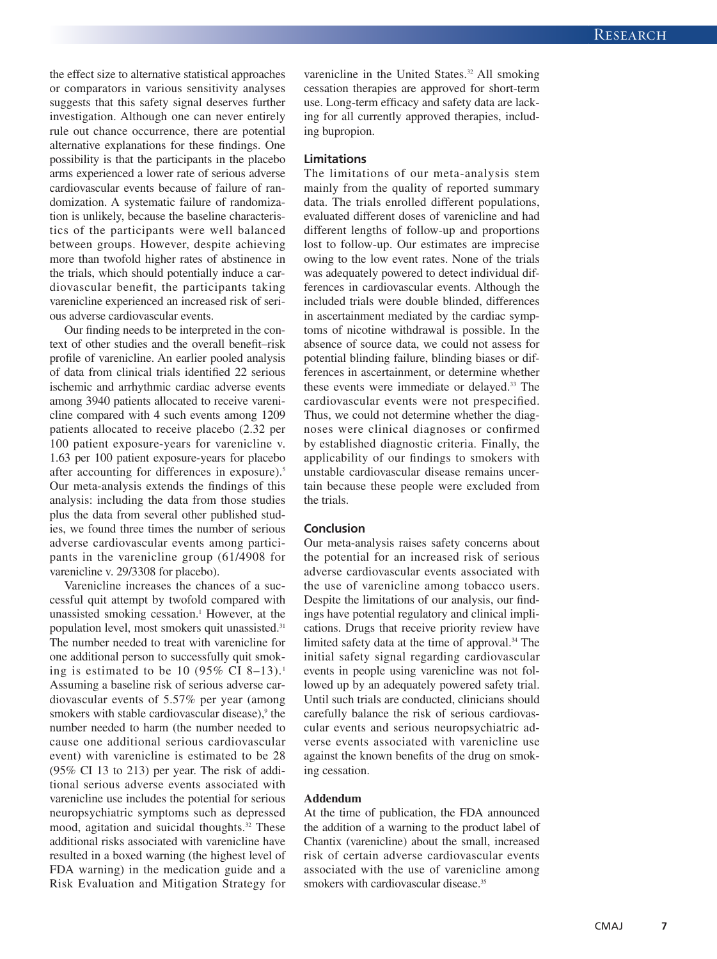the effect size to alternative statistical approaches or comparators in various sensitivity analyses suggests that this safety signal deserves further investigation. Although one can never entirely rule out chance occurrence, there are potential alternative explanations for these findings. One possibility is that the participants in the placebo arms experienced a lower rate of serious adverse cardiovascular events because of failure of randomization. A systematic failure of randomization is unlikely, because the baseline characteristics of the participants were well balanced between groups. However, despite achieving more than twofold higher rates of abstinence in the trials, which should potentially induce a cardiovascular benefit, the participants taking varenicline experienced an increased risk of serious adverse cardiovascular events.

Our finding needs to be interpreted in the context of other studies and the overall benefit–risk profile of varenicline. An earlier pooled analysis of data from clinical trials identified 22 serious ischemic and arrhythmic cardiac adverse events among 3940 patients allocated to receive varenicline compared with 4 such events among 1209 patients allocated to receive placebo (2.32 per 100 patient exposure-years for varenicline v. 1.63 per 100 patient exposure-years for placebo after accounting for differences in exposure). 5 Our meta-analysis extends the findings of this analysis: including the data from those studies plus the data from several other published studies, we found three times the number of serious adverse cardiovascular events among participants in the varenicline group (61/4908 for varenicline v. 29/3308 for placebo).

Varenicline increases the chances of a successful quit attempt by twofold compared with unassisted smoking cessation. <sup>1</sup> However, at the population level, most smokers quit unassisted.<sup>31</sup> The number needed to treat with varenicline for one additional person to successfully quit smoking is estimated to be 10  $(95\% \text{ CI } 8-13).$ <sup>1</sup> Assuming a baseline risk of serious adverse cardiovascular events of 5.57% per year (among smokers with stable cardiovascular disease), <sup>9</sup> the number needed to harm (the number needed to cause one additional serious cardiovascular event) with varenicline is estimated to be 28 (95% CI 13 to 213) per year. The risk of additional serious adverse events associated with varenicline use includes the potential for serious neuropsychiatric symptoms such as depressed mood, agitation and suicidal thoughts. <sup>32</sup> These additional risks associated with varenicline have resulted in a boxed warning (the highest level of FDA warning) in the medication guide and a Risk Evaluation and Mitigation Strategy for

varenicline in the United States. <sup>32</sup> All smoking cessation therapies are approved for short-term use. Long-term efficacy and safety data are lacking for all currently approved therapies, including bupropion.

#### **Limitations**

The limitations of our meta-analysis stem mainly from the quality of reported summary data. The trials enrolled different populations, evaluated different doses of varenicline and had different lengths of follow-up and proportions lost to follow-up. Our estimates are imprecise owing to the low event rates. None of the trials was adequately powered to detect individual differences in cardiovascular events. Although the included trials were double blinded, differences in ascertainment mediated by the cardiac symptoms of nicotine withdrawal is possible. In the absence of source data, we could not assess for potential blinding failure, blinding biases or differences in ascertainment, or determine whether these events were immediate or delayed. <sup>33</sup> The cardiovascular events were not prespecified. Thus, we could not determine whether the diagnoses were clinical diagnoses or confirmed by established diagnostic criteria. Finally, the applicability of our findings to smokers with unstable cardiovascular disease remains uncertain because these people were excluded from the trials.

#### **Conclusion**

Our meta-analysis raises safety concerns about the potential for an increased risk of serious adverse cardiovascular events associated with the use of varenicline among tobacco users. Despite the limitations of our analysis, our findings have potential regulatory and clinical implications. Drugs that receive priority review have limited safety data at the time of approval. <sup>34</sup> The initial safety signal regarding cardiovascular events in people using varenicline was not followed up by an adequately powered safety trial. Until such trials are conducted, clinicians should carefully balance the risk of serious cardiovascular events and serious neuropsychiatric adverse events associated with varenicline use against the known benefits of the drug on smoking cessation.

#### **Addendum**

At the time of publication, the FDA announced the addition of a warning to the product label of Chantix (varenicline) about the small, increased risk of certain adverse cardiovascular events associated with the use of varenicline among smokers with cardiovascular disease.<sup>35</sup>